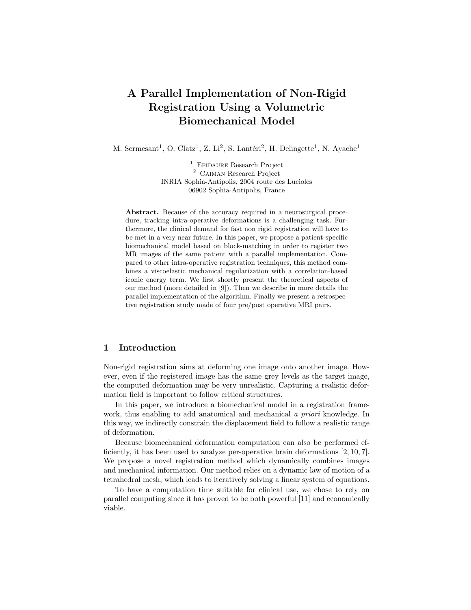# A Parallel Implementation of Non-Rigid Registration Using a Volumetric Biomechanical Model

M. Sermesant<sup>1</sup>, O. Clatz<sup>1</sup>, Z. Li<sup>2</sup>, S. Lantéri<sup>2</sup>, H. Delingette<sup>1</sup>, N. Ayache<sup>1</sup>

<sup>1</sup> EPIDAURE Research Project  $^{\rm 2}$  CAIMAN Research Project INRIA Sophia-Antipolis, 2004 route des Lucioles 06902 Sophia-Antipolis, France

Abstract. Because of the accuracy required in a neurosurgical procedure, tracking intra-operative deformations is a challenging task. Furthermore, the clinical demand for fast non rigid registration will have to be met in a very near future. In this paper, we propose a patient-specific biomechanical model based on block-matching in order to register two MR images of the same patient with a parallel implementation. Compared to other intra-operative registration techniques, this method combines a viscoelastic mechanical regularization with a correlation-based iconic energy term. We first shortly present the theoretical aspects of our method (more detailed in [9]). Then we describe in more details the parallel implementation of the algorithm. Finally we present a retrospective registration study made of four pre/post operative MRI pairs.

# 1 Introduction

Non-rigid registration aims at deforming one image onto another image. However, even if the registered image has the same grey levels as the target image, the computed deformation may be very unrealistic. Capturing a realistic deformation field is important to follow critical structures.

In this paper, we introduce a biomechanical model in a registration framework, thus enabling to add anatomical and mechanical a priori knowledge. In this way, we indirectly constrain the displacement field to follow a realistic range of deformation.

Because biomechanical deformation computation can also be performed efficiently, it has been used to analyze per-operative brain deformations [2, 10, 7]. We propose a novel registration method which dynamically combines images and mechanical information. Our method relies on a dynamic law of motion of a tetrahedral mesh, which leads to iteratively solving a linear system of equations.

To have a computation time suitable for clinical use, we chose to rely on parallel computing since it has proved to be both powerful [11] and economically viable.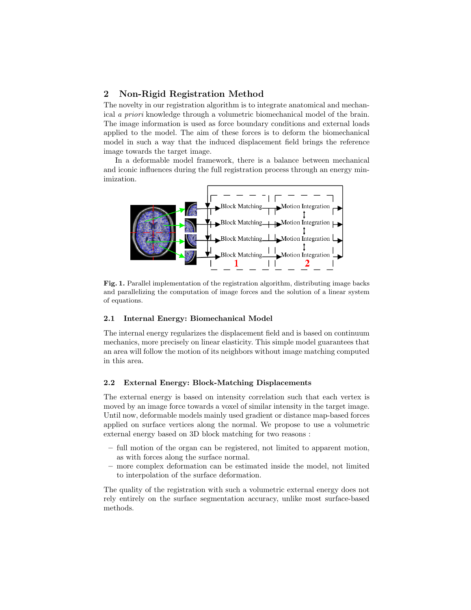## 2 Non-Rigid Registration Method

The novelty in our registration algorithm is to integrate anatomical and mechanical a priori knowledge through a volumetric biomechanical model of the brain. The image information is used as force boundary conditions and external loads applied to the model. The aim of these forces is to deform the biomechanical model in such a way that the induced displacement field brings the reference image towards the target image.

In a deformable model framework, there is a balance between mechanical and iconic influences during the full registration process through an energy minimization.



Fig. 1. Parallel implementation of the registration algorithm, distributing image backs and parallelizing the computation of image forces and the solution of a linear system of equations.

## 2.1 Internal Energy: Biomechanical Model

The internal energy regularizes the displacement field and is based on continuum mechanics, more precisely on linear elasticity. This simple model guarantees that an area will follow the motion of its neighbors without image matching computed in this area.

#### 2.2 External Energy: Block-Matching Displacements

The external energy is based on intensity correlation such that each vertex is moved by an image force towards a voxel of similar intensity in the target image. Until now, deformable models mainly used gradient or distance map-based forces applied on surface vertices along the normal. We propose to use a volumetric external energy based on 3D block matching for two reasons :

- full motion of the organ can be registered, not limited to apparent motion, as with forces along the surface normal.
- more complex deformation can be estimated inside the model, not limited to interpolation of the surface deformation.

The quality of the registration with such a volumetric external energy does not rely entirely on the surface segmentation accuracy, unlike most surface-based methods.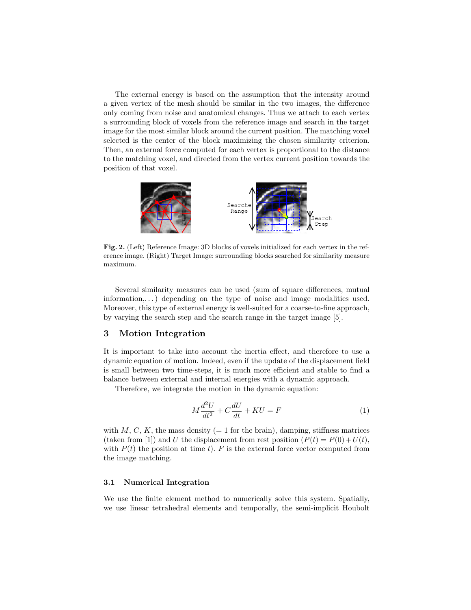The external energy is based on the assumption that the intensity around a given vertex of the mesh should be similar in the two images, the difference only coming from noise and anatomical changes. Thus we attach to each vertex a surrounding block of voxels from the reference image and search in the target image for the most similar block around the current position. The matching voxel selected is the center of the block maximizing the chosen similarity criterion. Then, an external force computed for each vertex is proportional to the distance to the matching voxel, and directed from the vertex current position towards the position of that voxel.



Fig. 2. (Left) Reference Image: 3D blocks of voxels initialized for each vertex in the reference image. (Right) Target Image: surrounding blocks searched for similarity measure maximum.

Several similarity measures can be used (sum of square differences, mutual information,...) depending on the type of noise and image modalities used. Moreover, this type of external energy is well-suited for a coarse-to-fine approach, by varying the search step and the search range in the target image [5].

## 3 Motion Integration

It is important to take into account the inertia effect, and therefore to use a dynamic equation of motion. Indeed, even if the update of the displacement field is small between two time-steps, it is much more efficient and stable to find a balance between external and internal energies with a dynamic approach.

Therefore, we integrate the motion in the dynamic equation:

$$
M\frac{d^2U}{dt^2} + C\frac{dU}{dt} + KU = F\tag{1}
$$

with  $M, C, K$ , the mass density (= 1 for the brain), damping, stiffness matrices (taken from [1]) and U the displacement from rest position  $(P(t) = P(0) + U(t)$ , with  $P(t)$  the position at time t). F is the external force vector computed from the image matching.

#### 3.1 Numerical Integration

We use the finite element method to numerically solve this system. Spatially, we use linear tetrahedral elements and temporally, the semi-implicit Houbolt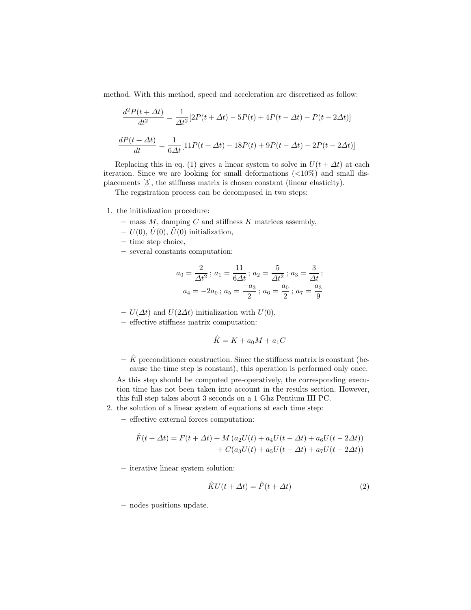method. With this method, speed and acceleration are discretized as follow:

$$
\frac{d^2P(t + \Delta t)}{dt^2} = \frac{1}{\Delta t^2} [2P(t + \Delta t) - 5P(t) + 4P(t - \Delta t) - P(t - 2\Delta t)]
$$

$$
\frac{dP(t + \Delta t)}{dt} = \frac{1}{6\Delta t} [11P(t + \Delta t) - 18P(t) + 9P(t - \Delta t) - 2P(t - 2\Delta t)]
$$

Replacing this in eq. (1) gives a linear system to solve in  $U(t + \Delta t)$  at each iteration. Since we are looking for small deformations  $\left( \langle 10\% \rangle \right)$  and small displacements [3], the stiffness matrix is chosen constant (linear elasticity).

The registration process can be decomposed in two steps:

- 1. the initialization procedure:
	- mass  $M$ , damping  $C$  and stiffness  $K$  matrices assembly,
	- $U(0)$ ,  $U(0)$ ,  $\hat{U}(0)$  initialization,
	- time step choice,
	- several constants computation:

$$
a_0 = \frac{2}{\Delta t^2} \, ; \, a_1 = \frac{11}{6\Delta t} \, ; \, a_2 = \frac{5}{\Delta t^2} \, ; \, a_3 = \frac{3}{\Delta t} \, ;
$$

$$
a_4 = -2a_0 \, ; \, a_5 = \frac{-a_3}{2} \, ; \, a_6 = \frac{a_0}{2} \, ; \, a_7 = \frac{a_3}{9}
$$

–  $U(\Delta t)$  and  $U(2\Delta t)$  initialization with  $U(0)$ ,

– effective stiffness matrix computation:

$$
\hat{K} = K + a_0 M + a_1 C
$$

 $-\hat{K}$  preconditioner construction. Since the stiffness matrix is constant (because the time step is constant), this operation is performed only once.

As this step should be computed pre-operatively, the corresponding execution time has not been taken into account in the results section. However, this full step takes about 3 seconds on a 1 Ghz Pentium III PC.

- 2. the solution of a linear system of equations at each time step:
	- effective external forces computation:

$$
\hat{F}(t + \Delta t) = F(t + \Delta t) + M (a_2 U(t) + a_4 U(t - \Delta t) + a_6 U(t - 2\Delta t)) \n+ C(a_3 U(t) + a_5 U(t - \Delta t) + a_7 U(t - 2\Delta t))
$$

– iterative linear system solution:

$$
\hat{K}U(t + \Delta t) = \hat{F}(t + \Delta t)
$$
\n(2)

– nodes positions update.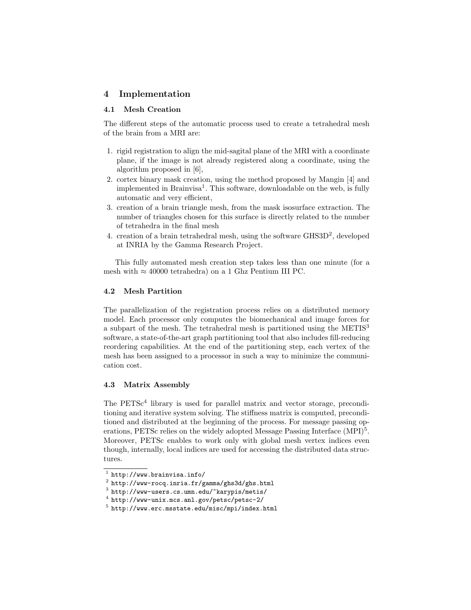# 4 Implementation

## 4.1 Mesh Creation

The different steps of the automatic process used to create a tetrahedral mesh of the brain from a MRI are:

- 1. rigid registration to align the mid-sagital plane of the MRI with a coordinate plane, if the image is not already registered along a coordinate, using the algorithm proposed in [6],
- 2. cortex binary mask creation, using the method proposed by Mangin [4] and implemented in Brainvisa<sup>1</sup>. This software, downloadable on the web, is fully automatic and very efficient,
- 3. creation of a brain triangle mesh, from the mask isosurface extraction. The number of triangles chosen for this surface is directly related to the number of tetrahedra in the final mesh
- 4. creation of a brain tetrahedral mesh, using the software GHS3D<sup>2</sup>, developed at INRIA by the Gamma Research Project.

This fully automated mesh creation step takes less than one minute (for a mesh with  $\approx 40000$  tetrahedra) on a 1 Ghz Pentium III PC.

### 4.2 Mesh Partition

The parallelization of the registration process relies on a distributed memory model. Each processor only computes the biomechanical and image forces for a subpart of the mesh. The tetrahedral mesh is partitioned using the  $METIS<sup>3</sup>$ software, a state-of-the-art graph partitioning tool that also includes fill-reducing reordering capabilities. At the end of the partitioning step, each vertex of the mesh has been assigned to a processor in such a way to minimize the communication cost.

## 4.3 Matrix Assembly

The  $PETSc<sup>4</sup>$  library is used for parallel matrix and vector storage, preconditioning and iterative system solving. The stiffness matrix is computed, preconditioned and distributed at the beginning of the process. For message passing operations, PETSc relies on the widely adopted Message Passing Interface (MPI)<sup>5</sup>. Moreover, PETSc enables to work only with global mesh vertex indices even though, internally, local indices are used for accessing the distributed data structures.

 $<sup>1</sup>$  http://www.brainvisa.info/</sup>

 $^2$  http://www-rocq.inria.fr/gamma/ghs3d/ghs.html

 $^3$  http://www-users.cs.umn.edu/~karypis/metis/

<sup>4</sup> http://www-unix.mcs.anl.gov/petsc/petsc-2/

 $^5$  http://www.erc.msstate.edu/misc/mpi/index.html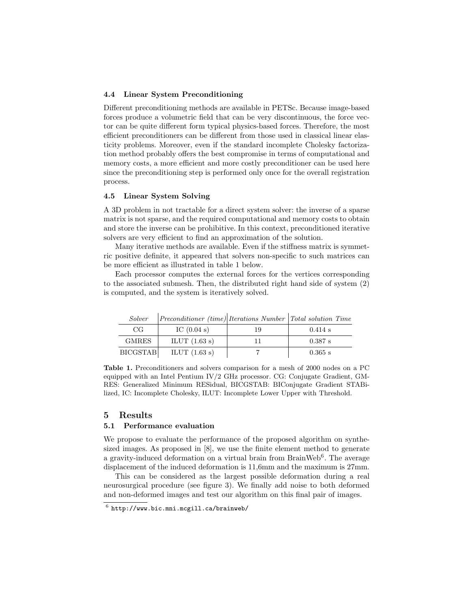#### 4.4 Linear System Preconditioning

Different preconditioning methods are available in PETSc. Because image-based forces produce a volumetric field that can be very discontinuous, the force vector can be quite different form typical physics-based forces. Therefore, the most efficient preconditioners can be different from those used in classical linear elasticity problems. Moreover, even if the standard incomplete Cholesky factorization method probably offers the best compromise in terms of computational and memory costs, a more efficient and more costly preconditioner can be used here since the preconditioning step is performed only once for the overall registration process.

#### 4.5 Linear System Solving

A 3D problem in not tractable for a direct system solver: the inverse of a sparse matrix is not sparse, and the required computational and memory costs to obtain and store the inverse can be prohibitive. In this context, preconditioned iterative solvers are very efficient to find an approximation of the solution.

Many iterative methods are available. Even if the stiffness matrix is symmetric positive definite, it appeared that solvers non-specific to such matrices can be more efficient as illustrated in table 1 below.

Each processor computes the external forces for the vertices corresponding to the associated submesh. Then, the distributed right hand side of system (2) is computed, and the system is iteratively solved.

| Solver          | <i>Preconditioner (time) Iterations Number</i> Total solution Time |    |           |
|-----------------|--------------------------------------------------------------------|----|-----------|
| CG              | IC $(0.04 s)$                                                      | 19 | $0.414$ s |
| <b>GMRES</b>    | ILUT $(1.63 s)$                                                    |    | $0.387$ s |
| <b>BICGSTAB</b> | ILUT $(1.63 s)$                                                    |    | $0.365$ s |

Table 1. Preconditioners and solvers comparison for a mesh of 2000 nodes on a PC equipped with an Intel Pentium IV/2 GHz processor. CG: Conjugate Gradient, GM-RES: Generalized Minimum RESidual, BICGSTAB: BIConjugate Gradient STABi-

lized, IC: Incomplete Cholesky, ILUT: Incomplete Lower Upper with Threshold.

#### 5 Results

#### 5.1 Performance evaluation

We propose to evaluate the performance of the proposed algorithm on synthesized images. As proposed in [8], we use the finite element method to generate a gravity-induced deformation on a virtual brain from BrainWeb<sup>6</sup>. The average displacement of the induced deformation is 11,6mm and the maximum is 27mm.

This can be considered as the largest possible deformation during a real neurosurgical procedure (see figure 3). We finally add noise to both deformed and non-deformed images and test our algorithm on this final pair of images.

 $^6$  http://www.bic.mni.mcgill.ca/brainweb/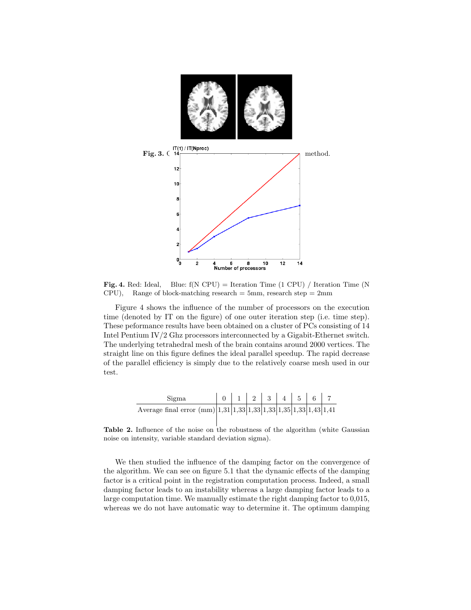

**Fig. 4.** Red: Ideal, Blue:  $f(N CPU) = Iteration Time (1 CPU) / Iteration Time (N)$ CPU), Range of block-matching research  $= 5$ mm, research step  $= 2$ mm

Figure 4 shows the influence of the number of processors on the execution time (denoted by IT on the figure) of one outer iteration step (i.e. time step). These peformance results have been obtained on a cluster of PCs consisting of 14 Intel Pentium IV/2 Ghz processors interconnected by a Gigabit-Ethernet switch. The underlying tetrahedral mesh of the brain contains around 2000 vertices. The straight line on this figure defines the ideal parallel speedup. The rapid decrease of the parallel efficiency is simply due to the relatively coarse mesh used in our test.

| Sigma                                                                     |  |  |  | $0 \mid 1 \mid 2 \mid 3 \mid 4 \mid 5 \mid 6 \mid 7$ |  |
|---------------------------------------------------------------------------|--|--|--|------------------------------------------------------|--|
| Average final error $\text{(mm)} 1,31 1,33 1,33 1,33 1,35 1,33 1,43 1,41$ |  |  |  |                                                      |  |

Table 2. Influence of the noise on the robustness of the algorithm (white Gaussian noise on intensity, variable standard deviation sigma).

We then studied the influence of the damping factor on the convergence of the algorithm. We can see on figure 5.1 that the dynamic effects of the damping factor is a critical point in the registration computation process. Indeed, a small damping factor leads to an instability whereas a large damping factor leads to a large computation time. We manually estimate the right damping factor to 0,015, whereas we do not have automatic way to determine it. The optimum damping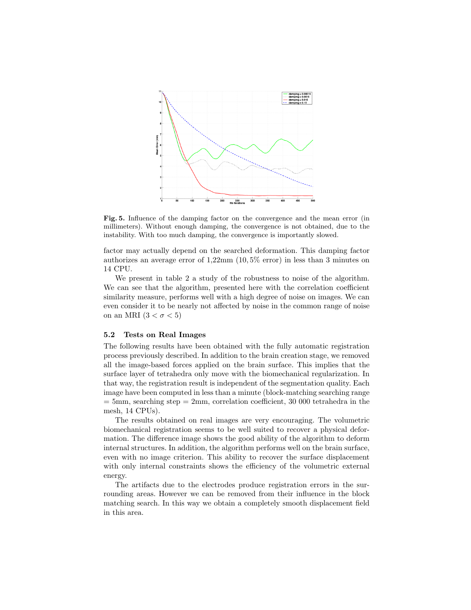

Fig. 5. Influence of the damping factor on the convergence and the mean error (in millimeters). Without enough damping, the convergence is not obtained, due to the instability. With too much damping, the convergence is importantly slowed.

factor may actually depend on the searched deformation. This damping factor authorizes an average error of 1,22mm (10, 5% error) in less than 3 minutes on 14 CPU.

We present in table 2 a study of the robustness to noise of the algorithm. We can see that the algorithm, presented here with the correlation coefficient similarity measure, performs well with a high degree of noise on images. We can even consider it to be nearly not affected by noise in the common range of noise on an MRI  $(3 < \sigma < 5)$ 

#### 5.2 Tests on Real Images

The following results have been obtained with the fully automatic registration process previously described. In addition to the brain creation stage, we removed all the image-based forces applied on the brain surface. This implies that the surface layer of tetrahedra only move with the biomechanical regularization. In that way, the registration result is independent of the segmentation quality. Each image have been computed in less than a minute (block-matching searching range  $= 5 \text{mm}$ , searching step  $= 2 \text{mm}$ , correlation coefficient, 30 000 tetrahedra in the mesh, 14 CPUs).

The results obtained on real images are very encouraging. The volumetric biomechanical registration seems to be well suited to recover a physical deformation. The difference image shows the good ability of the algorithm to deform internal structures. In addition, the algorithm performs well on the brain surface, even with no image criterion. This ability to recover the surface displacement with only internal constraints shows the efficiency of the volumetric external energy.

The artifacts due to the electrodes produce registration errors in the surrounding areas. However we can be removed from their influence in the block matching search. In this way we obtain a completely smooth displacement field in this area.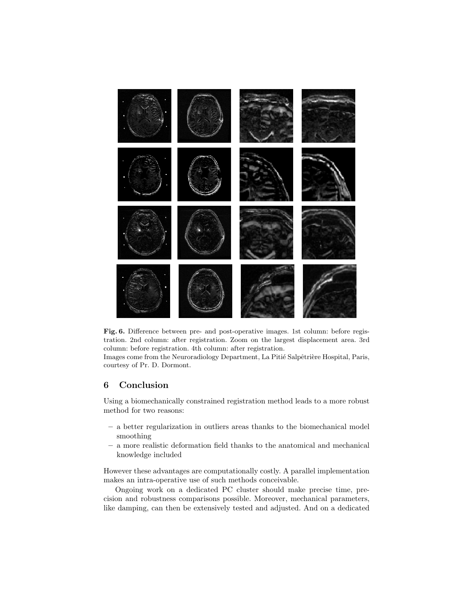

Fig. 6. Difference between pre- and post-operative images. 1st column: before registration. 2nd column: after registration. Zoom on the largest displacement area. 3rd column: before registration. 4th column: after registration.

Images come from the Neuroradiology Department, La Pitié Salpêtrière Hospital, Paris, courtesy of Pr. D. Dormont.

# 6 Conclusion

Using a biomechanically constrained registration method leads to a more robust method for two reasons:

- a better regularization in outliers areas thanks to the biomechanical model smoothing
- a more realistic deformation field thanks to the anatomical and mechanical knowledge included

However these advantages are computationally costly. A parallel implementation makes an intra-operative use of such methods conceivable.

Ongoing work on a dedicated PC cluster should make precise time, precision and robustness comparisons possible. Moreover, mechanical parameters, like damping, can then be extensively tested and adjusted. And on a dedicated